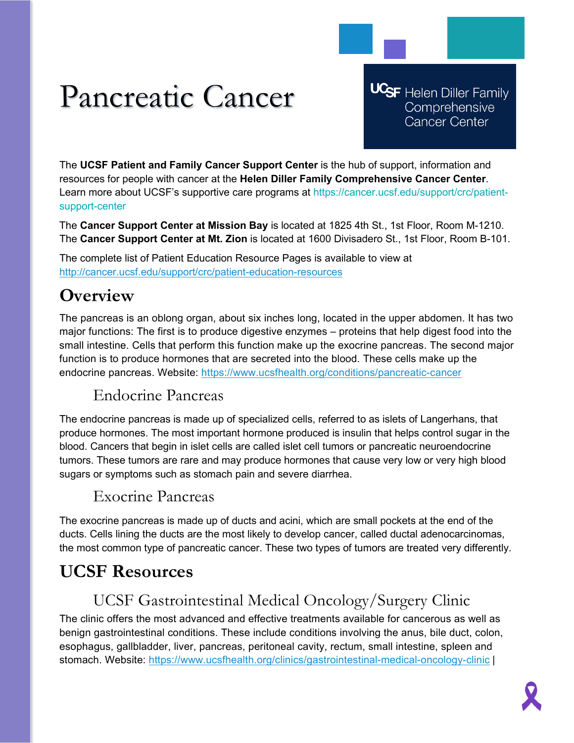# Pancreatic Cancer

**UCSF** Helen Diller Family Comprehensive **Cancer Center** 

The **UCSF Patient and Family Cancer Support Center** is the hub of support, information and resources for people with cancer at the **Helen Diller Family Comprehensive Cancer Center**. Learn more about UCSF's supportive care programs at https://cancer.ucsf.edu/support/crc/patientsupport-center

The **Cancer Support Center at Mission Bay** is located at 1825 4th St., 1st Floor, Room M-1210. The **Cancer Support Center at Mt. Zion** is located at 1600 Divisadero St., 1st Floor, Room B-101.

The complete list of Patient Education Resource Pages is available to view at <http://cancer.ucsf.edu/support/crc/patient-education-resources>

## **Overview**

The pancreas is an oblong organ, about six inches long, located in the upper abdomen. It has two major functions: The first is to produce digestive enzymes – proteins that help digest food into the small intestine. Cells that perform this function make up the exocrine pancreas. The second major function is to produce hormones that are secreted into the blood. These cells make up the endocrine pancreas. Website:<https://www.ucsfhealth.org/conditions/pancreatic-cancer>

### Endocrine Pancreas

The endocrine pancreas is made up of specialized cells, referred to as islets of Langerhans, that produce hormones. The most important hormone produced is insulin that helps control sugar in the blood. Cancers that begin in islet cells are called islet cell tumors or pancreatic neuroendocrine tumors. These tumors are rare and may produce hormones that cause very low or very high blood sugars or symptoms such as stomach pain and severe diarrhea.

#### Exocrine Pancreas

The exocrine pancreas is made up of ducts and acini, which are small pockets at the end of the ducts. Cells lining the ducts are the most likely to develop cancer, called ductal adenocarcinomas, the most common type of pancreatic cancer. These two types of tumors are treated very differently.

## **UCSF Resources**

### UCSF Gastrointestinal Medical Oncology/Surgery Clinic

The clinic offers the most advanced and effective treatments available for cancerous as well as benign gastrointestinal conditions. These include conditions involving the anus, bile duct, colon, esophagus, gallbladder, liver, pancreas, peritoneal cavity, rectum, small intestine, spleen and stomach. Website:<https://www.ucsfhealth.org/clinics/gastrointestinal-medical-oncology-clinic> |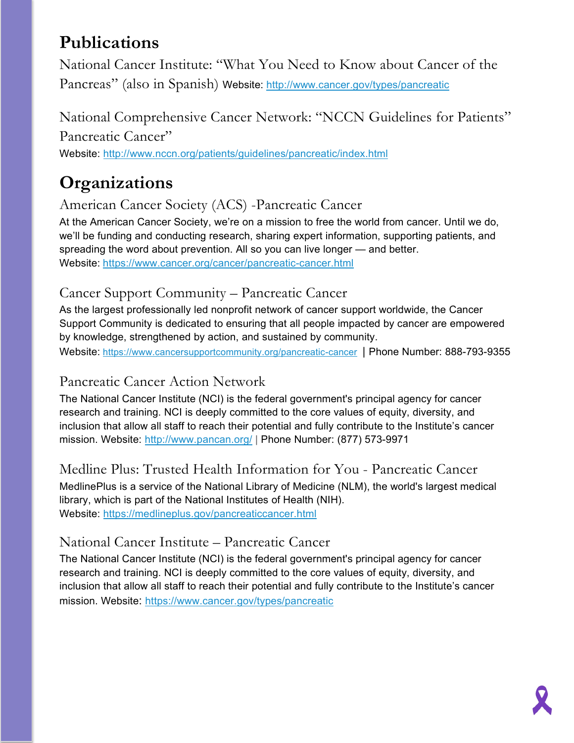# **Publications**

National Cancer Institute: "What You Need to Know about Cancer of the Pancreas" (also in Spanish) Website:<http://www.cancer.gov/types/pancreatic>

National Comprehensive Cancer Network: "NCCN Guidelines for Patients" Pancreatic Cancer"

Website:<http://www.nccn.org/patients/guidelines/pancreatic/index.html>

# **Organizations**

American Cancer Society (ACS) -Pancreatic Cancer

At the American Cancer Society, we're on a mission to free the world from cancer. Until we do, we'll be funding and conducting research, sharing expert information, supporting patients, and spreading the word about prevention. All so you can live longer — and better. Website: <https://www.cancer.org/cancer/pancreatic-cancer.html>

#### Cancer Support Community – Pancreatic Cancer

As the largest professionally led nonprofit network of cancer support worldwide, the Cancer Support Community is dedicated to ensuring that all people impacted by cancer are empowered by knowledge, strengthened by action, and sustained by community. Website: <https://www.cancersupportcommunity.org/pancreatic-cancer>| Phone Number: 888-793-9355

### Pancreatic Cancer Action Network

The National Cancer Institute (NCI) is the federal government's principal agency for cancer research and training. NCI is deeply committed to the core values of equity, diversity, and inclusion that allow all staff to reach their potential and fully contribute to the Institute's cancer mission. Website:<http://www.pancan.org/> | Phone Number: (877) 573-9971

Medline Plus: Trusted Health Information for You - Pancreatic Cancer MedlinePlus is a service of the National Library of Medicine (NLM), the world's largest medical library, which is part of the National Institutes of Health (NIH). Website:<https://medlineplus.gov/pancreaticcancer.html>

### National Cancer Institute – Pancreatic Cancer

The National Cancer Institute (NCI) is the federal government's principal agency for cancer research and training. NCI is deeply committed to the core values of equity, diversity, and inclusion that allow all staff to reach their potential and fully contribute to the Institute's cancer mission. Website:<https://www.cancer.gov/types/pancreatic>